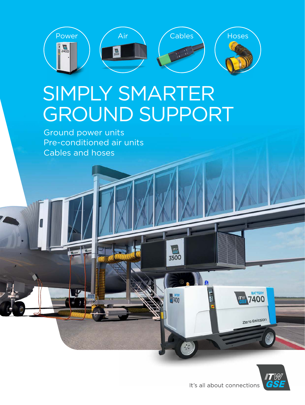

 $\sqrt{\frac{1}{GSE}}$ 3500

47400

# SIMPLY SMARTER GROUND SUPPORT

Ground power units Pre-conditioned air units Cables and hoses

1 and 1 and



**BATTERY** 

7400

Zero Emission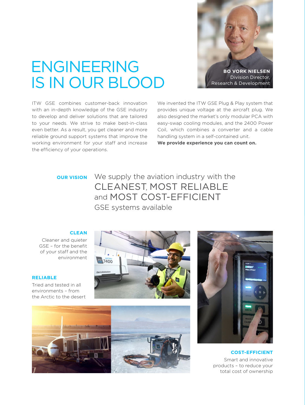

## ENGINEERING IS IN OUR BLOOD

ITW GSE combines customer-back innovation with an in-depth knowledge of the GSE industry to develop and deliver solutions that are tailored to your needs. We strive to make best-in-class even better. As a result, you get cleaner and more reliable ground support systems that improve the working environment for your staff and increase We invented the ITW GSE Plug & Play system that provides unique voltage at the aircraft plug. We also designed the market's only modular PCA with easy-swap cooling modules, and the 2400 Power Coil, which combines a converter and a cable handling system in a self-contained unit.

**We provide experience you can count on.**

#### **OUR VISION**

the efficiency of your operations.

We supply the aviation industry with the CLEANEST, MOST RELIABLE and MOST COST-EFFICIENT GSE systems available

#### **CLEAN**

Cleaner and quieter GSE – for the benefit of your staff and the environment

#### **RELIABLE**

Tried and tested in all environments – from the Arctic to the desert







**COST-EFFICIENT** Smart and innovative products – to reduce your total cost of ownership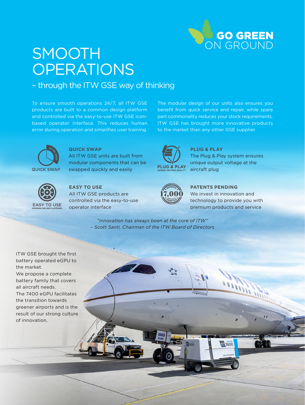

## **SMOOTH OPERATIONS**

– through the ITW GSE way of thinking

To ensure smooth operations 24/7, all ITW GSE products are built to a common design platform and controlled via the easy-to-use ITW GSE iconbased operator interface. This reduces human error during operation and simplifies user training.

The modular design of our units also ensures you benefit from quick service and repair, while spare part commonality reduces your stock requirements. ITW GSE has brought more innovative products to the market than any other GSE supplier.



### **QUICK SWAP**

All ITW GSE units are built from modular components that can be swapped quickly and easily



### **EASY TO USE**

All ITW GSE products are controlled via the easy-to-use operator interface



**PLUG & PLAY** The Plug & Play system ensures unique output voltage at the aircraft plug

| <b>TEN:</b> |  |
|-------------|--|
|             |  |
|             |  |

### **PATENTS PENDING**

We invest in innovation and technology to provide you with premium products and service

7400

*"Innovation has always been at the core of ITW" – Scott Santi, Chairman of the ITW Board of Directors*

ITW GSE brought the first battery operated eGPU to the market. We propose a complete battery family that covers all aircraft needs. The 7400 eGPU facilitates the transition towards greener airports and is the result of our strong culture of innovation.